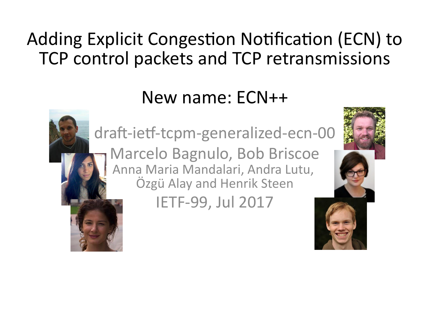### Adding Explicit Congestion Notification (ECN) to TCP control packets and TCP retransmissions

### New name: ECN++



Marcelo Bagnulo, Bob Briscoe Anna Maria Mandalari, Andra Lutu, Özgü Alay and Henrik Steen

IETF-99, Jul 2017



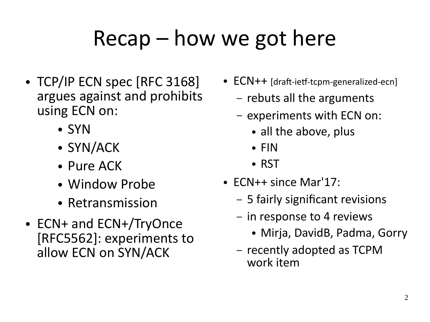## Recap – how we got here

- TCP/IP ECN spec [RFC 3168] argues against and prohibits using ECN on:
	- SYN
	- SYN/ACK
	- Pure ACK
	- Window Probe
	- Retransmission
- ECN+ and ECN+/TryOnce [RFC5562]: experiments to allow ECN on SYN/ACK
- ECN++ [draft-ietf-tcpm-generalized-ecn]
	- rebuts all the arguments
	- experiments with ECN on:
		- all the above, plus
		- FIN
		- RST
- $\bullet$  FCN++ since Mar'17:
	- 5 fairly significant revisions
	- in response to 4 reviews
		- Mirja, DavidB, Padma, Gorry
	- recently adopted as TCPM work item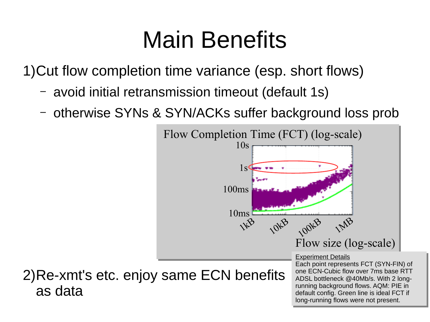## Main Benefits

1)Cut flow completion time variance (esp. short flows)

– avoid initial retransmission timeout (default 1s)

as data

– otherwise SYNs & SYN/ACKs suffer background loss prob

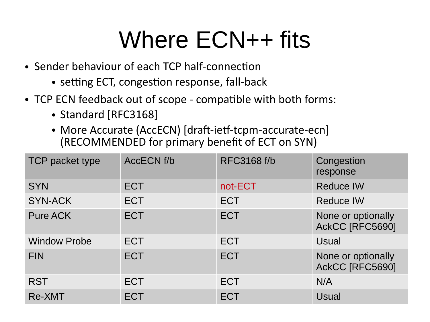## Where ECN++ fits

- Sender behaviour of each TCP half-connection
	- setting ECT, congestion response, fall-back
- TCP ECN feedback out of scope compatible with both forms:
	- Standard [RFC3168]
	- More Accurate (AccECN) [draft-ietf-tcpm-accurate-ecn] (RECOMMENDED for primary benefit of ECT on SYN)

| TCP packet type     | <b>ACCECN f/b</b> | <b>RFC3168 f/b</b> | Congestion<br>response                |
|---------------------|-------------------|--------------------|---------------------------------------|
| <b>SYN</b>          | <b>ECT</b>        | not-ECT            | <b>Reduce IW</b>                      |
| <b>SYN-ACK</b>      | <b>ECT</b>        | <b>ECT</b>         | <b>Reduce IW</b>                      |
| <b>Pure ACK</b>     | <b>ECT</b>        | <b>ECT</b>         | None or optionally<br>AckCC [RFC5690] |
| <b>Window Probe</b> | <b>ECT</b>        | <b>ECT</b>         | Usual                                 |
| <b>FIN</b>          | <b>ECT</b>        | <b>ECT</b>         | None or optionally<br>AckCC [RFC5690] |
| <b>RST</b>          | <b>ECT</b>        | <b>ECT</b>         | N/A                                   |
| Re-XMT              | <b>ECT</b>        | <b>ECT</b>         | <b>Usual</b>                          |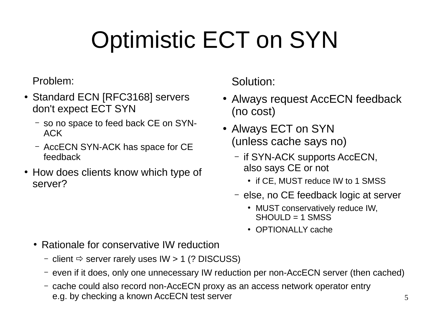# Optimistic ECT on SYN

### Problem:

- Standard ECN [RFC3168] servers don't expect ECT SYN
	- so no space to feed back CE on SYN-ACK
	- AccECN SYN-ACK has space for CE feedback
- How does clients know which type of server?

Solution:

- Always request AccECN feedback (no cost)
- Always ECT on SYN (unless cache says no)
	- if SYN-ACK supports AccECN, also says CE or not
		- if CE, MUST reduce IW to 1 SMSS
	- else, no CE feedback logic at server
		- MUST conservatively reduce IW,  $SHOUI D = 1$  SMSS
		- OPTIONALLY cache
- Rationale for conservative IW reduction
	- client  $\Rightarrow$  server rarely uses IW > 1 (? DISCUSS)
	- even if it does, only one unnecessary IW reduction per non-AccECN server (then cached)
	- cache could also record non-AccECN proxy as an access network operator entry e.g. by checking a known AccECN test server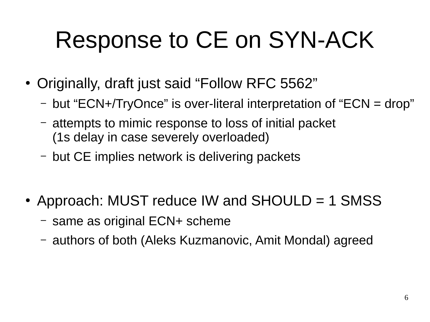## Response to CE on SYN-ACK

- Originally, draft just said "Follow RFC 5562"
	- but "ECN+/TryOnce" is over-literal interpretation of "ECN = drop"
	- attempts to mimic response to loss of initial packet (1s delay in case severely overloaded)
	- but CE implies network is delivering packets
- Approach: MUST reduce IW and SHOULD  $=$  1 SMSS
	- same as original ECN+ scheme
	- authors of both (Aleks Kuzmanovic, Amit Mondal) agreed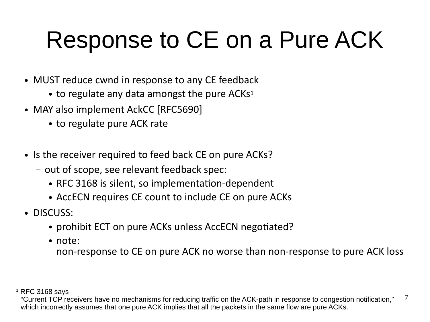## Response to CE on a Pure ACK

- MUST reduce cwnd in response to any CE feedback
	- $\bullet$  to regulate any data amongst the pure ACKs<sup>1</sup>
- MAY also implement AckCC [RFC5690]
	- to regulate pure ACK rate
- Is the receiver required to feed back CE on pure ACKs?
	- out of scope, see relevant feedback spec:
		- RFC 3168 is silent, so implementation-dependent
		- AccECN requires CE count to include CE on pure ACKs
- DISCUSS:
	- prohibit ECT on pure ACKs unless AccECN negotiated?
	- note:

non-response to CE on pure ACK no worse than non-response to pure ACK loss

 $\overline{\phantom{a}}$ 

 $1$  RFC 3168 says

<sup>7</sup> "Current TCP receivers have no mechanisms for reducing traffic on the ACK-path in response to congestion notification," which incorrectly assumes that one pure ACK implies that all the packets in the same flow are pure ACKs.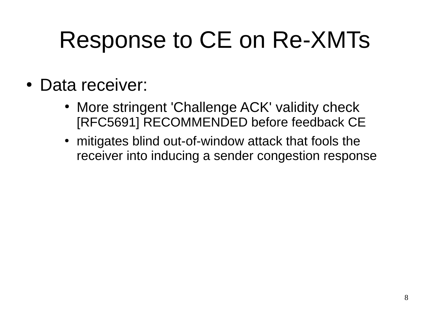## Response to CE on Re-XMTs

- Data receiver:
	- More stringent 'Challenge ACK' validity check [RFC5691] RECOMMENDED before feedback CE
	- mitigates blind out-of-window attack that fools the receiver into inducing a sender congestion response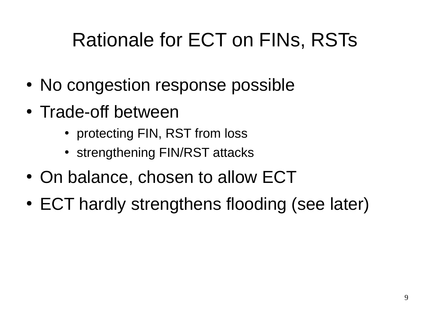### Rationale for ECT on FINs, RSTs

- No congestion response possible
- Trade-off between
	- protecting FIN, RST from loss
	- strengthening FIN/RST attacks
- On balance, chosen to allow ECT
- ECT hardly strengthens flooding (see later)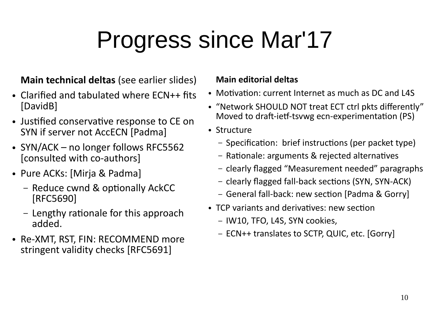## Progress since Mar'17

#### **Main technical deltas** (see earlier slides)

- $\bullet$  Clarified and tabulated where  $FCN++$  fits [DavidB]
- Justified conservative response to CE on SYN if server not AccECN [Padma]
- SYN/ACK no longer follows RFC5562 [consulted with co-authors]
- Pure ACKs: [Mirja & Padma]
	- Reduce cwnd & optionally AckCC [RFC5690]
	- Lengthy rationale for this approach added.
- Re-XMT, RST, FIN: RECOMMEND more stringent validity checks [RFC5691]

#### **Main editorial deltas**

- Motivation: current Internet as much as DC and L4S
- "Network SHOULD NOT treat ECT ctrl pkts differently" Moved to draft-ietf-tsvwg ecn-experimentation (PS)
- Structure
	- Specification: brief instructions (per packet type)
	- Rationale: arguments & rejected alternatives
	- clearly flagged "Measurement needed" paragraphs
	- clearly flagged fall-back sections (SYN, SYN-ACK)
	- General fall-back: new section [Padma & Gorry]
- TCP variants and derivatives: new section
	- IW10, TFO, L4S, SYN cookies,
	- ECN++ translates to SCTP, QUIC, etc. [Gorry]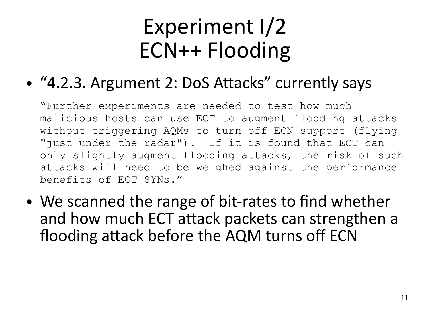## Experiment I/2 ECN++ Flooding

#### $\bullet$ "4.2.3. Argument 2: DoS Attacks" currently says

"Further experiments are needed to test how much malicious hosts can use ECT to augment flooding attacks without triggering AQMs to turn off ECN support (flying "just under the radar"). If it is found that ECT can only slightly augment flooding attacks, the risk of such attacks will need to be weighed against the performance benefits of ECT SYNs."

• We scanned the range of bit-rates to find whether and how much ECT attack packets can strengthen a flooding attack before the AQM turns off ECN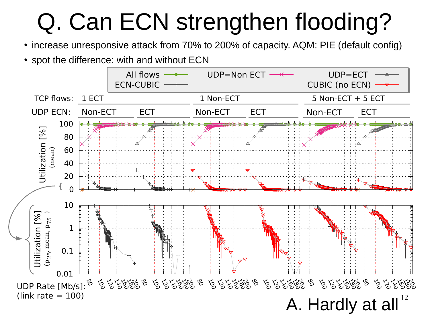# Q. Can ECN strengthen flooding?

- increase unresponsive attack from 70% to 200% of capacity. AQM: PIE (default config)
- spot the difference: with and without ECN

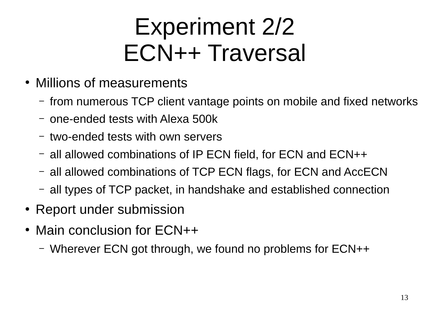## Experiment 2/2 ECN++ Traversal

- Millions of measurements
	- from numerous TCP client vantage points on mobile and fixed networks
	- one-ended tests with Alexa 500k
	- two-ended tests with own servers
	- all allowed combinations of IP ECN field, for ECN and ECN++
	- all allowed combinations of TCP ECN flags, for ECN and AccECN
	- all types of TCP packet, in handshake and established connection
- Report under submission
- Main conclusion for  $ECN++$ 
	- Wherever ECN got through, we found no problems for ECN++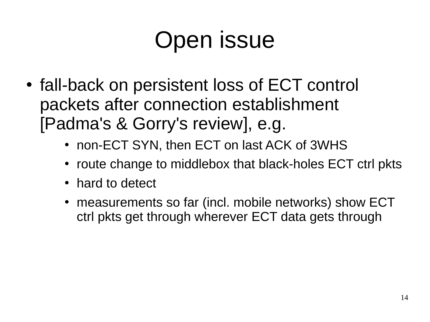## Open issue

- fall-back on persistent loss of ECT control packets after connection establishment [Padma's & Gorry's review], e.g.
	- non-ECT SYN, then ECT on last ACK of 3WHS
	- route change to middlebox that black-holes ECT ctrl pkts
	- hard to detect
	- measurements so far (incl. mobile networks) show ECT ctrl pkts get through wherever ECT data gets through